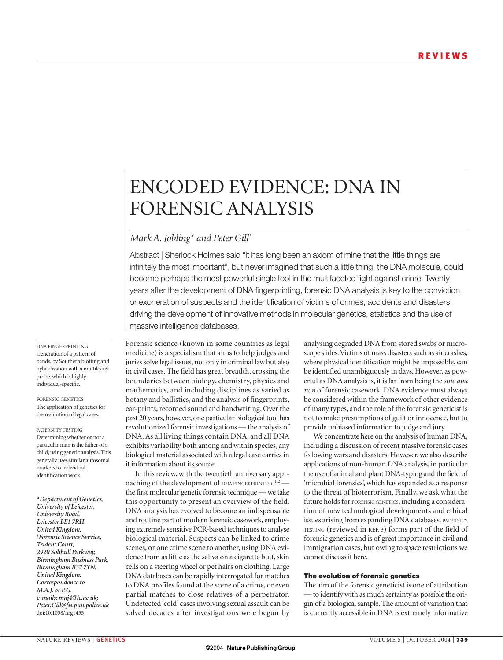# ENCODED EVIDENCE: DNA IN FORENSIC ANALYSIS

# *Mark A. Jobling\* and Peter Gill‡*

Abstract | Sherlock Holmes said "it has long been an axiom of mine that the little things are infinitely the most important", but never imagined that such a little thing, the DNA molecule, could become perhaps the most powerful single tool in the multifaceted fight against crime. Twenty years after the development of DNA fingerprinting, forensic DNA analysis is key to the conviction or exoneration of suspects and the identification of victims of crimes, accidents and disasters, driving the development of innovative methods in molecular genetics, statistics and the use of massive intelligence databases.

DNA FINGERPRINTING Generation of a pattern of bands, by Southern blotting and hybridization with a multilocus probe, which is highly individual-specific.

FORENSIC GENETICS The application of genetics for the resolution of legal cases.

PATERNITY TESTING Determining whether or not a particular man is the father of a child, using genetic analysis. This generally uses similar autosomal markers to individual identification work.

*\*Department of Genetics, University of Leicester, University Road, Leicester LE1 7RH, United Kingdom. ‡ Forensic Science Service, Trident Court, 2920 Solihull Parkway, Birmingham Business Park, Birmingham B37 7YN, United Kingdom. Correspondence to M.A.J. or P.G. e-mails: maj4@le.ac.uk; Peter.Gill@fss.pnn.police.uk* doi:10.1038/nrg1455

Forensic science (known in some countries as legal medicine) is a specialism that aims to help judges and juries solve legal issues, not only in criminal law but also in civil cases. The field has great breadth, crossing the boundaries between biology, chemistry, physics and mathematics, and including disciplines as varied as botany and ballistics, and the analysis of fingerprints, ear-prints, recorded sound and handwriting. Over the past 20 years, however, one particular biological tool has revolutionized forensic investigations — the analysis of DNA. As all living things contain DNA, and all DNA exhibits variability both among and within species, any biological material associated with a legal case carries in it information about its source.

In this review, with the twentieth anniversary approaching of the development of DNA FINGERPRINTING<sup>1,2</sup> the first molecular genetic forensic technique — we take this opportunity to present an overview of the field. DNA analysis has evolved to become an indispensable and routine part of modern forensic casework, employing extremely sensitive PCR-based techniques to analyse biological material. Suspects can be linked to crime scenes, or one crime scene to another, using DNA evidence from as little as the saliva on a cigarette butt, skin cells on a steering wheel or pet hairs on clothing. Large DNA databases can be rapidly interrogated for matches to DNA profiles found at the scene of a crime, or even partial matches to close relatives of a perpetrator. Undetected 'cold' cases involving sexual assault can be solved decades after investigations were begun by analysing degraded DNA from stored swabs or microscope slides.Victims of mass disasters such as air crashes, where physical identification might be impossible, can be identified unambiguously in days. However, as powerful as DNA analysis is, it is far from being the *sine qua non* of forensic casework. DNA evidence must always be considered within the framework of other evidence of many types, and the role of the forensic geneticist is not to make presumptions of guilt or innocence, but to provide unbiased information to judge and jury.

We concentrate here on the analysis of human DNA, including a discussion of recent massive forensic cases following wars and disasters. However, we also describe applications of non-human DNA analysis, in particular the use of animal and plant DNA-typing and the field of 'microbial forensics', which has expanded as a response to the threat of bioterrorism. Finally, we ask what the future holds for FORENSIC GENETICS, including a consideration of new technological developments and ethical issues arising from expanding DNA databases. PATERNITY TESTING (reviewed in REF. 3) forms part of the field of forensic genetics and is of great importance in civil and immigration cases, but owing to space restrictions we cannot discuss it here.

# **The evolution of forensic genetics**

The aim of the forensic geneticist is one of attribution — to identify with as much certainty as possible the origin of a biological sample. The amount of variation that is currently accessible in DNA is extremely informative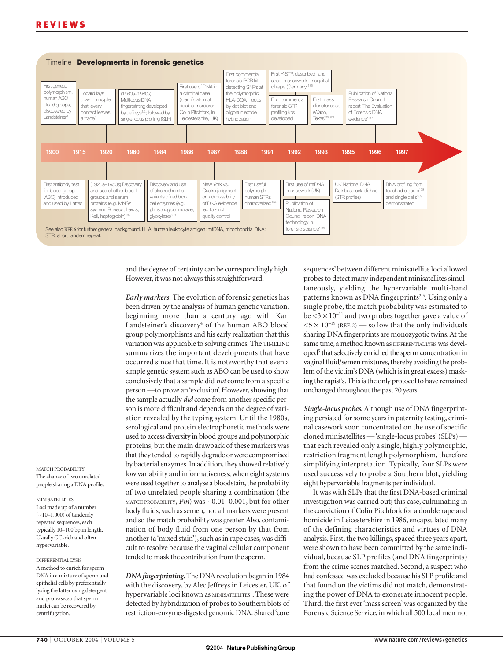

and the degree of certainty can be correspondingly high. However, it was not always this straightforward.

*Early markers.* The evolution of forensic genetics has been driven by the analysis of human genetic variation, beginning more than a century ago with Karl Landsteiner's discovery<sup>4</sup> of the human ABO blood group polymorphisms and his early realization that this variation was applicable to solving crimes. The TIMELINE summarizes the important developments that have occurred since that time. It is noteworthy that even a simple genetic system such as ABO can be used to show conclusively that a sample did *not* come from a specific person —to prove an 'exclusion'. However, showing that the sample actually *did* come from another specific person is more difficult and depends on the degree of variation revealed by the typing system. Until the 1980s, serological and protein electrophoretic methods were used to access diversity in blood groups and polymorphic proteins, but the main drawback of these markers was that they tended to rapidly degrade or were compromised by bacterial enzymes. In addition, they showed relatively low variability and informativeness; when eight systems were used together to analyse a bloodstain, the probability of two unrelated people sharing a combination (the MATCH PROBABILITY,  $Pm$ ) was  $\sim$  0.01–0.001, but for other body fluids, such as semen, not all markers were present and so the match probability was greater.Also, contamination of body fluid from one person by that from another (a 'mixed stain'), such as in rape cases, was difficult to resolve because the vaginal cellular component tended to mask the contribution from the sperm.

*DNA fingerprinting.* The DNA revolution began in 1984 with the discovery, by Alec Jeffreys in Leicester, UK, of hypervariable loci known as mINISATELLITES<sup>1</sup>. These were detected by hybridization of probes to Southern blots of restriction-enzyme-digested genomic DNA. Shared 'core

sequences' between different minisatellite loci allowed probes to detect many independent minisatellites simultaneously, yielding the hypervariable multi-band patterns known as DNA fingerprints<sup>2,5</sup>. Using only a single probe, the match probability was estimated to be  $\lt3 \times 10^{-11}$  and two probes together gave a value of  $< 5 \times 10^{-19}$  (REF. 2) — so low that the only individuals sharing DNA fingerprints are monozygotic twins.At the same time, a method known as DIFFERENTIAL LYSIS was developed<sup>5</sup> that selectively enriched the sperm concentration in vaginal fluid/semen mixtures, thereby avoiding the problem of the victim's DNA (which is in great excess) masking the rapist's. This is the only protocol to have remained unchanged throughout the past 20 years.

*Single-locus probes.* Although use of DNA fingerprinting persisted for some years in paternity testing, criminal casework soon concentrated on the use of specific cloned minisatellites — 'single-locus probes' (SLPs) that each revealed only a single, highly polymorphic, restriction fragment length polymorphism, therefore simplifying interpretation. Typically, four SLPs were used successively to probe a Southern blot, yielding eight hypervariable fragments per individual.

It was with SLPs that the first DNA-based criminal investigation was carried out; this case, culminating in the conviction of Colin Pitchfork for a double rape and homicide in Leicestershire in 1986, encapsulated many of the defining characteristics and virtues of DNA analysis. First, the two killings, spaced three years apart, were shown to have been committed by the same individual, because SLP profiles (and DNA fingerprints) from the crime scenes matched. Second, a suspect who had confessed was excluded because his SLP profile and that found on the victims did not match, demonstrating the power of DNA to exonerate innocent people. Third, the first ever 'mass screen' was organized by the Forensic Science Service, in which all 500 local men not

MATCH PROBABILITY The chance of two unrelated people sharing a DNA profile.

# **MINISATELLITES**

Loci made up of a number  $(-10-1,000)$  of tandemly repeated sequences, each typically 10–100 bp in length. Usually GC-rich and often hypervariable.

DIFFERENTIAL LYSIS A method to enrich for sperm DNA in a mixture of sperm and epithelial cells by preferentially lysing the latter using detergent and protease, so that sperm nuclei can be recovered by centrifugation.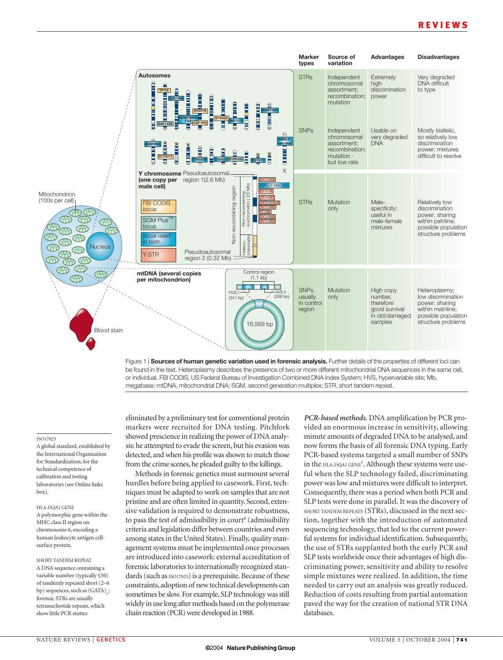

Figure 1 | **Sources of human genetic variation used in forensic analysis.** Further details of the properties of different loci can be found in the text. Heteroplasmy describes the presence of two or more different mitochondrial DNA sequences in the same cell, or individual. FBI CODIS, US Federal Bureau of Investigation Combined DNA Index System; HVS, hypervariable site; Mb, megabase; mtDNA, mitochondrial DNA; SGM, second generation multiplex; STR, short tandem repeat.

#### ISO17025

A global standard, established by the International Organization for Standardization, for the technical competence of calibration and testing laboratories (see Online links box).

#### HLA-DQA1 GENE A polymorphic gene within the MHC class II region on chromosome 6, encoding a human leukocyte antigen cellsurface protein.

SHORT TANDEM REPEAT A DNA sequence containing a variable number (typically ≤50) of tandemly repeated short (2–6 bp) sequences, such as (GATA)<sub>n</sub>; forensic STRs are usually tetranucleotide repeats, which show little PCR stutter.

eliminated by a preliminary test for conventional protein markers were recruited for DNA testing. Pitchfork showed prescience in realizing the power of DNA analysis: he attempted to evade the screen, but his evasion was detected, and when his profile was shown to match those from the crime scenes, he pleaded guilty to the killings.

Methods in forensic genetics must surmount several hurdles before being applied to casework. First, techniques must be adapted to work on samples that are not pristine and are often limited in quantity. Second, extensive validation is required to demonstrate robustness, to pass the test of admissibility in court<sup>6</sup> (admissibility criteria and legislation differ between countries and even among states in the United States). Finally, quality management systems must be implemented once processes are introduced into casework: external accreditation of forensic laboratories to internationally recognized standards (such as ISO17025) is a prerequisite. Because of these constraints, adoption of new technical developments can sometimes be slow. For example, SLP technology was still widely in use long after methods based on the polymerase chain reaction (PCR) were developed in 1988.

*PCR-based methods.* DNA amplification by PCR provided an enormous increase in sensitivity, allowing minute amounts of degraded DNA to be analysed, and now forms the basis of all forensic DNA typing. Early PCR-based systems targeted a small number of SNPs in the HLA-DQA1 GENE7 . Although these systems were useful when the SLP technology failed, discriminating power was low and mixtures were difficult to interpret. Consequently, there was a period when both PCR and SLP tests were done in parallel. It was the discovery of SHORT TANDEM REPEATS (STRs), discussed in the next section, together with the introduction of automated sequencing technology, that led to the current powerful systems for individual identification. Subsequently, the use of STRs supplanted both the early PCR and SLP tests worldwide once their advantages of high discriminating power, sensitivity and ability to resolve simple mixtures were realized. In addition, the time needed to carry out an analysis was greatly reduced. Reduction of costs resulting from partial automation paved the way for the creation of national STR DNA databases.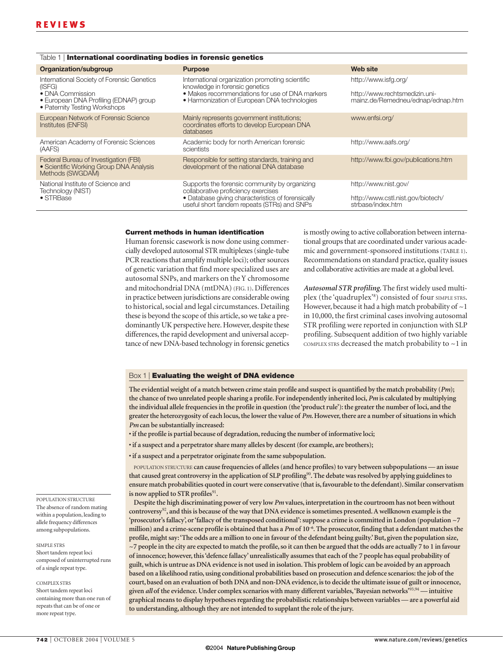| Table 1   International coordinating bodies in forensic genetics                                                                                    |                                                                                                                                                                                          |                                                                                            |  |  |  |  |  |  |
|-----------------------------------------------------------------------------------------------------------------------------------------------------|------------------------------------------------------------------------------------------------------------------------------------------------------------------------------------------|--------------------------------------------------------------------------------------------|--|--|--|--|--|--|
| Organization/subgroup                                                                                                                               | <b>Purpose</b>                                                                                                                                                                           | <b>Web site</b>                                                                            |  |  |  |  |  |  |
| International Society of Forensic Genetics<br>(ISFG)<br>• DNA Commission<br>• European DNA Profiling (EDNAP) group<br>• Paternity Testing Workshops | International organization promoting scientific<br>knowledge in forensic genetics<br>• Makes recommendations for use of DNA markers<br>• Harmonization of European DNA technologies      | http://www.isfg.org/<br>http://www.rechtsmedizin.uni-<br>mainz.de/Remedneu/ednap/ednap.htm |  |  |  |  |  |  |
| European Network of Forensic Science<br>Institutes (ENFSI)                                                                                          | Mainly represents government institutions;<br>coordinates efforts to develop European DNA<br>databases                                                                                   | www.enfsi.org/                                                                             |  |  |  |  |  |  |
| American Academy of Forensic Sciences<br>(AAFS)                                                                                                     | Academic body for north American forensic<br>scientists                                                                                                                                  | http://www.aafs.org/                                                                       |  |  |  |  |  |  |
| Federal Bureau of Investigation (FBI)<br>• Scientific Working Group DNA Analysis<br>Methods (SWGDAM)                                                | Responsible for setting standards, training and<br>development of the national DNA database                                                                                              | http://www.fbi.gov/publications.htm                                                        |  |  |  |  |  |  |
| National Institute of Science and<br>Technology (NIST)<br>• STRBase                                                                                 | Supports the forensic community by organizing<br>collaborative proficiency exercises<br>· Database giving characteristics of forensically<br>useful short tandem repeats (STRs) and SNPs | http://www.nist.gov/<br>http://www.cstl.nist.gov/biotech/<br>strbase/index.htm             |  |  |  |  |  |  |

#### **Current methods in human identification**

Human forensic casework is now done using commercially developed autosomal STR multiplexes (single-tube PCR reactions that amplify multiple loci); other sources of genetic variation that find more specialized uses are autosomal SNPs, and markers on the Y chromosome and mitochondrial DNA (mtDNA) (FIG. 1). Differences in practice between jurisdictions are considerable owing to historical, social and legal circumstances. Detailing these is beyond the scope of this article, so we take a predominantly UK perspective here. However, despite these differences, the rapid development and universal acceptance of new DNA-based technology in forensic genetics

is mostly owing to active collaboration between international groups that are coordinated under various academic and government-sponsored institutions (TABLE 1). Recommendations on standard practice, quality issues and collaborative activities are made at a global level.

*Autosomal STR profiling.* The first widely used multiplex (the 'quadruplex'<sup>8</sup>) consisted of four SIMPLE STRS. However, because it had a high match probability of  $\sim$  1 in 10,000, the first criminal cases involving autosomal STR profiling were reported in conjunction with SLP profiling. Subsequent addition of two highly variable COMPLEX STRS decreased the match probability to  $\sim$  1 in

#### Box 1 | **Evaluating the weight of DNA evidence**

**The evidential weight of a match between crime stain profile and suspect is quantified by the match probability (***Pm***); the chance of two unrelated people sharing a profile. For independently inherited loci,***Pm* **is calculated by multiplying the individual allele frequencies in the profile in question (the 'product rule'): the greater the number of loci, and the greater the heterozygosity of each locus, the lower the value of** *Pm***. However, there are a number of situations in which** *Pm* **can be substantially increased:**

- **if the profile is partial because of degradation, reducing the number of informative loci;**
- **if a suspect and a perpetrator share many alleles by descent (for example, are brothers);**
- **if a suspect and a perpetrator originate from the same subpopulation.**

POPULATION STRUCTURE **can cause frequencies of alleles (and hence profiles) to vary between subpopulations — an issue that caused great controversy in the application of SLP profiling**<sup>90</sup>**.The debate was resolved by applying guidelines to ensure match probabilities quoted in court were conservative (that is, favourable to the defendant). Similar conservatism** is now applied to STR profiles<sup>91</sup>.

**Despite the high discriminating power of very low** *Pm* **values, interpretation in the courtroom has not been without controversy**<sup>92</sup>**, and this is because of the way that DNA evidence is sometimes presented. A wellknown example is the 'prosecutor's fallacy', or 'fallacy of the transposed conditional': suppose a crime is committed in London (population ~7 million) and a crime-scene profile is obtained that has a** *Pm* **of 10–6.The prosecutor, finding that a defendant matches the profile, might say:'The odds are a million to one in favour of the defendant being guilty.' But, given the population size, ~7 people in the city are expected to match the profile, so it can then be argued that the odds are actually 7 to 1 in favour of innocence; however, this 'defence fallacy' unrealistically assumes that each of the 7 people has equal probability of guilt, which is untrue as DNA evidence is not used in isolation. This problem of logic can be avoided by an approach based on a likelihood ratio, using conditional probabilities based on prosecution and defence scenarios: the job of the court, based on an evaluation of both DNA and non-DNA evidence, is to decide the ultimate issue of guilt or innocence, given** *all* **of the evidence. Under complex scenarios with many different variables,'Bayesian networks'**93,94 **— intuitive graphical means to display hypotheses regarding the probabilistic relationships between variables — are a powerful aid to understanding, although they are not intended to supplant the role of the jury.**

POPULATION STRUCTURE The absence of random mating within a population, leading to allele frequency differences among subpopulations.

SIMPLE STRS Short tandem repeat loci composed of uninterrupted runs of a single repeat type.

COMPLEX STRS Short tandem repeat loci containing more than one run of repeats that can be of one or more repeat type.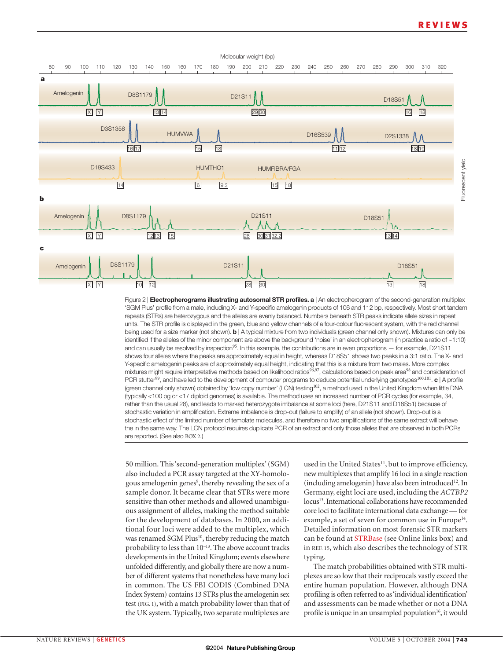

Figure 2 | **Electropherograms illustrating autosomal STR profiles. a** | An electropherogram of the second-generation multiplex 'SGM Plus' profile from a male, including X- and Y-specific amelogenin products of 106 and 112 bp, respectively. Most short tandem repeats (STRs) are heterozygous and the alleles are evenly balanced. Numbers beneath STR peaks indicate allele sizes in repeat units. The STR profile is displayed in the green, blue and yellow channels of a four-colour fluorescent system, with the red channel being used for a size marker (not shown). **b** | A typical mixture from two individuals (green channel only shown). Mixtures can only be identified if the alleles of the minor component are above the background 'noise' in an electropherogram (in practice a ratio of ~1:10) and can usually be resolved by inspection<sup>95</sup>. In this example, the contributions are in even proportions — for example, D21S11 shows four alleles where the peaks are approximately equal in height, whereas D18S51 shows two peaks in a 3:1 ratio. The X- and Y-specific amelogenin peaks are of approximately equal height, indicating that this is a mixture from two males. More complex mixtures might require interpretative methods based on likelihood ratios $96,97$ , calculations based on peak area $98$  and consideration of PCR stutter<sup>99</sup>, and have led to the development of computer programs to deduce potential underlying genotypes<sup>100,101</sup>. **c** | A profile (green channel only shown) obtained by 'low copy number' (LCN) testing<sup>102</sup>, a method used in the United Kingdom when little DNA (typically <100 pg or <17 diploid genomes) is available. The method uses an increased number of PCR cycles (for example, 34, rather than the usual 28), and leads to marked heterozygote imbalance at some loci (here, D21S11 and D18S51) because of stochastic variation in amplification. Extreme imbalance is drop-out (failure to amplify) of an allele (not shown). Drop-out is a stochastic effect of the limited number of template molecules, and therefore no two amplifications of the same extract will behave the in the same way. The LCN protocol requires duplicate PCR of an extract and only those alleles that are observed in both PCRs are reported. (See also BOX 2.)

50 million. This 'second-generation multiplex' (SGM) also included a PCR assay targeted at the XY-homologous amelogenin genes<sup>9</sup>, thereby revealing the sex of a sample donor. It became clear that STRs were more sensitive than other methods and allowed unambiguous assignment of alleles, making the method suitable for the development of databases. In 2000, an additional four loci were added to the multiplex, which was renamed SGM Plus<sup>10</sup>, thereby reducing the match probability to less than  $10^{-13}$ . The above account tracks developments in the United Kingdom; events elsewhere unfolded differently, and globally there are now a number of different systems that nonetheless have many loci in common. The US FBI CODIS (Combined DNA Index System) contains 13 STRs plus the amelogenin sex test (FIG. 1), with a match probability lower than that of the UK system. Typically, two separate multiplexes are used in the United States<sup>11</sup>, but to improve efficiency, new multiplexes that amplify 16 loci in a single reaction (including amelogenin) have also been introduced<sup>12</sup>. In Germany, eight loci are used, including the *ACTBP2* locus<sup>13</sup>. International collaborations have recommended core loci to facilitate international data exchange — for example, a set of seven for common use in Europe<sup>14</sup>. Detailed information on most forensic STR markers can be found at STRBase (see Online links box) and in REF. 15, which also describes the technology of STR typing.

The match probabilities obtained with STR multiplexes are so low that their reciprocals vastly exceed the entire human population. However, although DNA profiling is often referred to as 'individual identification' and assessments can be made whether or not a DNA profile is unique in an unsampled population<sup>16</sup>, it would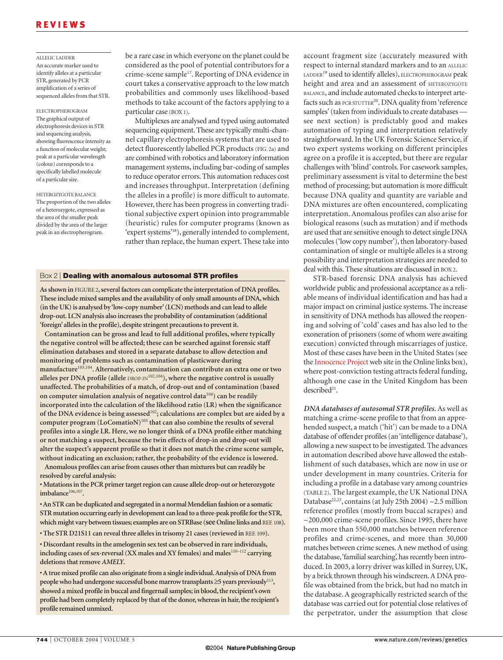#### ALLELIC LADDER An accurate marker used to identify alleles at a particular STR, generated by PCR amplification of a series of sequenced alleles from that STR.

ELECTROPHEROGRAM The graphical output of electrophoresis devices in STR and sequencing analysis, showing fluorescence intensity as a function of molecular weight; peak at a particular wavelength (colour) corresponds to a specifically labelled molecule of a particular size.

HETEROZYGOTE BALANCE The proportion of the two alleles of a heterozygote, expressed as the area of the smaller peak divided by the area of the larger peak in an electropherogram.

be a rare case in which everyone on the planet could be considered as the pool of potential contributors for a crime-scene sample<sup>17</sup>. Reporting of DNA evidence in court takes a conservative approach to the low match probabilities and commonly uses likelihood-based methods to take account of the factors applying to a particular case (BOX 1).

Multiplexes are analysed and typed using automated sequencing equipment. These are typically multi-channel capillary electrophoresis systems that are used to detect fluorescently labelled PCR products (FIG. 2a) and are combined with robotics and laboratory information management systems, including bar-coding of samples to reduce operator errors. This automation reduces cost and increases throughput. Interpretation (defining the alleles in a profile) is more difficult to automate. However, there has been progress in converting traditional subjective expert opinion into programmable (heuristic) rules for computer programs (known as 'expert systems'18), generally intended to complement, rather than replace, the human expert. These take into

#### Box 2 | **Dealing with anomalous autosomal STR profiles**

**As shown in** FIGURE 2**, several factors can complicate the interpretation of DNA profiles. These include mixed samples and the availability of only small amounts of DNA, which (in the UK) is analysed by 'low-copy number' (LCN) methods and can lead to allele drop-out. LCN analysis also increases the probability of contamination (additional 'foreign' alleles in the profile), despite stringent precautions to prevent it.**

**Contamination can be gross and lead to full additional profiles, where typically the negative control will be affected; these can be searched against forensic staff elimination databases and stored in a separate database to allow detection and monitoring of problems such as contamination of plasticware during manufacture**103,104**. Alternatively, contamination can contribute an extra one or two** alleles per DNA profile (allele DROP-IN<sup>102,104</sup>), where the negative control is usually **unaffected. The probabilities of a match, of drop-out and of contamination (based on computer simulation analysis of negative control data**<sup>104</sup>**) can be readily incorporated into the calculation of the likelihood ratio (LR) when the significance of the DNA evidence is being assessed**<sup>102</sup>**; calculations are complex but are aided by a computer program (LoComatioN)**<sup>105</sup> **that can also combine the results of several profiles into a single LR. Here, we no longer think of a DNA profile either matching or not matching a suspect, because the twin effects of drop-in and drop-out will alter the suspect's apparent profile so that it does not match the crime scene sample, without indicating an exclusion; rather, the probability of the evidence is lowered.**

**Anomalous profiles can arise from causes other than mixtures but can readily be resolved by careful analysis:**

**• Mutations in the PCR primer target region can cause allele drop-out or heterozygote imbalance**106,107**.**

**• An STR can be duplicated and segregated in a normal Mendelian fashion or a somatic STR mutation occurring early in development can lead to a three-peak profile for the STR, which might vary between tissues; examples are on STRBase (seeOnline links and** REF. 108**).**

**• The STR D21S11 can reveal three alleles in trisomy 21 cases (reviewed in** REF. 109**).**

**• Discordant results in the amelogenin sex test can be observed in rare individuals, including cases of sex-reversal (XX males and XY females) and males**110–112 **carrying deletions that remove** *AMELY***.**

**• A true mixed profile can also originate from a single individual.Analysis of DNA from people who had undergone successful bone marrow transplants** ≥**5 years previously**<sup>113</sup>**, showed a mixed profile in buccal and fingernail samples; in blood, the recipient's own profile had been completely replaced by that of the donor, whereas in hair, the recipient's profile remained unmixed.**

account fragment size (accurately measured with respect to internal standard markers and to an ALLELIC LADDER<sup>19</sup> used to identify alleles), ELECTROPHEROGRAM peak height and area and an assessment of HETEROZYGOTE BALANCE, and include automated checks to interpret artefacts such as PCR STUTTER<sup>20</sup>. DNA quality from 'reference samples' (taken from individuals to create databases see next section) is predictably good and makes automation of typing and interpretation relatively straightforward. In the UK Forensic Science Service, if two expert systems working on different principles agree on a profile it is accepted, but there are regular challenges with 'blind' controls. For casework samples, preliminary assessment is vital to determine the best method of processing; but automation is more difficult because DNA quality and quantity are variable and DNA mixtures are often encountered, complicating interpretation. Anomalous profiles can also arise for biological reasons (such as mutation) and if methods are used that are sensitive enough to detect single DNA molecules ('low copy number'), then laboratory-based contamination of single or multiple alleles is a strong possibility and interpretation strategies are needed to deal with this. These situations are discussed in BOX 2.

STR-based forensic DNA analysis has achieved worldwide public and professional acceptance as a reliable means of individual identification and has had a major impact on criminal justice systems. The increase in sensitivity of DNA methods has allowed the reopening and solving of 'cold' cases and has also led to the exoneration of prisoners (some of whom were awaiting execution) convicted through miscarriages of justice. Most of these cases have been in the United States (see the Innocence Project web site in the Online links box), where post-conviction testing attracts federal funding, although one case in the United Kingdom has been described21.

*DNA databases of autosomal STR profiles.* As well as matching a crime-scene profile to that from an apprehended suspect, a match ('hit') can be made to a DNA database of offender profiles (an 'intelligence database'), allowing a new suspect to be investigated. The advances in automation described above have allowed the establishment of such databases, which are now in use or under development in many countries. Criteria for including a profile in a database vary among countries (TABLE 2). The largest example, the UK National DNA Database<sup>22,23</sup>, contains (at July 25th 2004)  $\sim$  2.5 million reference profiles (mostly from buccal scrapes) and ~200,000 crime-scene profiles. Since 1995, there have been more than 550,000 matches between reference profiles and crime-scenes, and more than 30,000 matches between crime scenes. A new method of using the database,'familial searching', has recently been introduced. In 2003, a lorry driver was killed in Surrey, UK, by a brick thrown through his windscreen. A DNA profile was obtained from the brick, but had no match in the database. A geographically restricted search of the database was carried out for potential close relatives of the perpetrator, under the assumption that close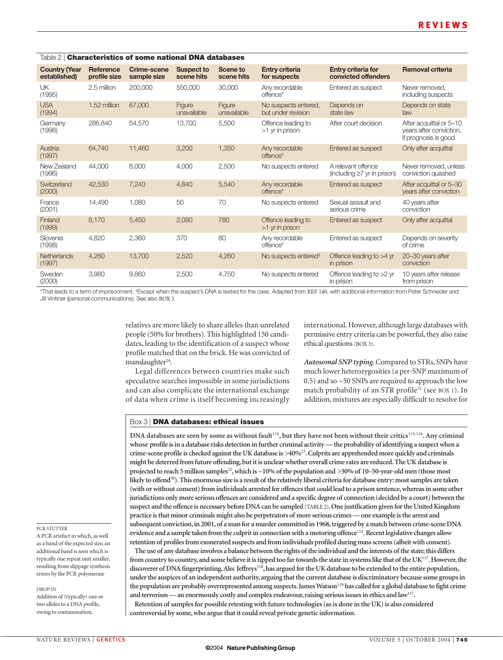| Table 2   Characteristics of some national DNA databases |                                  |                                   |                                 |                        |                                            |                                                         |                                                                            |  |  |
|----------------------------------------------------------|----------------------------------|-----------------------------------|---------------------------------|------------------------|--------------------------------------------|---------------------------------------------------------|----------------------------------------------------------------------------|--|--|
| <b>Country (Year</b><br>established)                     | <b>Reference</b><br>profile size | <b>Crime-scene</b><br>sample size | <b>Suspect to</b><br>scene hits | Scene to<br>scene hits | <b>Entry criteria</b><br>for suspects      | Entry criteria for<br>convicted offenders               | <b>Removal criteria</b>                                                    |  |  |
| UK<br>(1995)                                             | 2.5 million                      | 200,000                           | 550,000                         | 30,000                 | Anv recordable<br>offence*                 | Entered as suspect                                      | Never removed.<br>including suspects                                       |  |  |
| <b>USA</b><br>(1994)                                     | 1.52 million                     | 67,000                            | Figure<br>unavailable           | Figure<br>unavailable  | No suspects entered,<br>but under revision | Depends on<br>state law                                 | Depends on state<br>law                                                    |  |  |
| Germany<br>(1998)                                        | 286,840                          | 54,570                            | 13,700                          | 5,500                  | Offence leading to<br>$>1$ yr in prison    | After court decision                                    | After acquittal or 5-10<br>years after conviction,<br>if prognosis is good |  |  |
| Austria<br>(1997)                                        | 64,740                           | 11,460                            | 3,200                           | 1,350                  | Any recordable<br>offence*                 | Entered as suspect                                      | Only after acquittal                                                       |  |  |
| New Zealand<br>(1996)                                    | 44,000                           | 8,000                             | 4,000                           | 2,500                  | No suspects entered                        | A relevant offence<br>(including $\geq$ 7 yr in prison) | Never removed, unless<br>conviction quashed                                |  |  |
| Switzerland<br>(2000)                                    | 42,530                           | 7,240                             | 4,840                           | 5,540                  | Any recordable<br>offence*                 | Entered as suspect                                      | After acquittal or 5-30<br>years after conviction                          |  |  |
| France<br>(2001)                                         | 14,490                           | 1,080                             | 50                              | 70                     | No suspects entered                        | Sexual assault and<br>serious crime                     | 40 years after<br>conviction                                               |  |  |
| Finland<br>(1999)                                        | 8,170                            | 5,450                             | 2,080                           | 780                    | Offence leading to<br>$>1$ yr in prison    | Entered as suspect                                      | Only after acquittal                                                       |  |  |
| Slovenia<br>(1998)                                       | 4,820                            | 2,360                             | 370                             | 80                     | Any recordable<br>offence*                 | Entered as suspect                                      | Depends on severity<br>of crime                                            |  |  |
| <b>Netherlands</b><br>(1997)                             | 4,260                            | 13.700                            | 2,520                           | 4,260                  | No suspects entered <sup>#</sup>           | Offence leading to >4 yr<br>in prison                   | 20-30 years after<br>conviction                                            |  |  |
| Sweden<br>(2000)                                         | 3,980                            | 9,860                             | 2,500                           | 4,750                  | No suspects entered                        | Offence leading to $>2$ yr<br>in prison                 | 10 years after release<br>from prison                                      |  |  |

\*That leads to a term of imprisonment. ‡ Except when the suspect's DNA is tested for the case. Adapted from REF. 140, with additional information from Peter Schneider and Jill Vintiner (personal communications). See also BOX 3.

> relatives are more likely to share alleles than unrelated people (50% for brothers). This highlighted 150 candidates, leading to the identification of a suspect whose profile matched that on the brick. He was convicted of manslaughter<sup>24</sup>.

> Legal differences between countries make such speculative searches impossible in some jurisdictions and can also complicate the international exchange of data when crime is itself becoming increasingly

international. However, although large databases with permissive entry criteria can be powerful, they also raise ethical questions (BOX 3).

*Autosomal SNP typing.* Compared to STRs, SNPs have much lower heterozygosities (a per-SNP maximum of 0.5) and so ~50 SNPs are required to approach the low match probability of an STR profile<sup>25</sup> (see BOX 1). In addition, mixtures are especially difficult to resolve for

# Box 3 | **DNA databases: ethical issues**

**DNA databases are seen by some as without fault**<sup>114</sup>**, but they have not been without their critics**115,116**. Any criminal whose profile is in a database risks detection in further criminal activity — the probability of identifying a suspect when a crime-scene profile is checked against the UK database is >40%**<sup>23</sup>**. Culprits are apprehended more quickly and criminals might be deterred from future offending, but it is unclear whether overall crime rates are reduced. The UK database is projected to reach 5 million samples**<sup>22</sup>**, which is ~10% of the population and >30% of 10–50-year-old men (those most likely to offend**<sup>30</sup>**). This enormous size is a result of the relatively liberal criteria for database entry: most samples are taken (with or without consent) from individuals arrested for offences that could lead to a prison sentence, whereas in some other jurisdictions only more serious offences are considered and a specific degree of connection (decided by a court) between the suspect and the offence is necessary before DNA can be sampled** (TABLE 2)**.One justification given for the United Kingdom practice is that minor criminals might also be perpetrators of more serious crimes — one example is the arrest and subsequent conviction, in 2001, of a man for a murder committed in 1968, triggered by a match between crime-scene DNA evidence and a sample taken from the culprit in connection with a motoring offence**<sup>114</sup>**. Recent legislative changes allow retention of profiles from exonerated suspects and from individuals profiled during mass screens (albeit with consent).**

**The use of any database involves a balance between the rights of the individual and the interests of the state; this differs from country to country, and some believe it is tipped too far towards the state in systems like that of the UK**<sup>117</sup>**. However, the discoverer of DNA fingerprinting,Alec Jeffreys**<sup>118</sup>**,has argued for the UK database to be extended to the entire population, under the auspices of an independent authority, arguing that the current database is discriminatory because some groups in the population are probably overrepresented among suspects. James Watson**<sup>119</sup> **has called for a global database to fight crime and terrorism — an enormously costly and complex endeavour, raising serious issues in ethics and law**<sup>117</sup>**.**

**Retention of samples for possible retesting with future technologies (as is done in the UK) is also considered controversial by some, who argue that it could reveal private genetic information.**

#### PCR STUTTER

A PCR artefact in which, as well as a band of the expected size, an additional band is seen which is typically one repeat unit smaller, resulting from slippage synthesis errors by the PCR polymerase

DROP-IN

Addition of (typically) one or two alleles to a DNA profile, owing to contamination.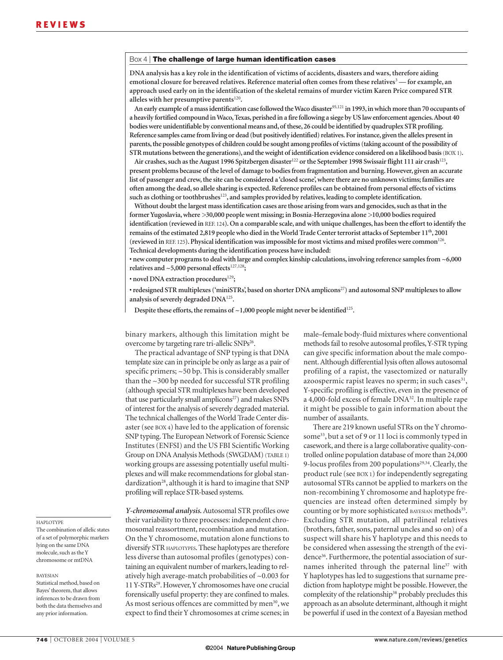#### Box 4 | **The challenge of large human identification cases**

**DNA analysis has a key role in the identification of victims of accidents, disasters and wars, therefore aiding emotional closure for bereaved relatives. Reference material often comes from these relatives**<sup>3</sup> **— for example, an approach used early on in the identification of the skeletal remains of murder victim Karen Price compared STR alleles with her presumptive parents**<sup>120</sup>**.**

**An early example of a mass identification case followed the Waco disaster**95,121 **in 1993, in which more than 70 occupants of a heavily fortified compound in Waco, Texas, perished in a fire following a siege by US law enforcement agencies.About 40 bodies were unidentifiable by conventional means and, of these, 26 could be identified by quadruplex STR profiling. Reference samples came from living or dead (but positively identified) relatives. For instance, given the alleles present in parents, the possible genotypes of children could be sought among profiles of victims (taking account of the possibility of** STR mutations between the generations), and the weight of identification evidence considered on a likelihood basis (BOX 1).

**Air crashes, such as the August 1996 Spitzbergen disaster**<sup>122</sup> **or the September 1998 Swissair flight 111 air crash**<sup>123</sup>**, present problems because of the level of damage to bodies from fragmentation and burning. However, given an accurate list of passenger and crew, the site can be considered a 'closed scene', where there are no unknown victims; families are often among the dead, so allele sharing is expected. Reference profiles can be obtained from personal effects of victims such as clothing or toothbrushes**<sup>123</sup>**, and samples provided by relatives, leading to complete identification.**

**Without doubt the largest mass identification cases are those arising from wars and genocides, such as that in the former Yugoslavia, where >30,000 people went missing; in Bosnia-Herzegovina alone >10,000 bodies required identification (reviewed in** REF. 124**). On a comparable scale, and with unique challenges, has been the effort to identify the remains of the estimated 2,819 people who died in the World Trade Center terrorist attacks of September 11th, 2001 (reviewed in** REF. 125**). Physical identification was impossible for most victims and mixed profiles were common**<sup>126</sup>**. Technical developments during the identification process have included:**

**• new computer programs to deal with large and complex kinship calculations, involving reference samples from ~6,000 relatives and ~5,000 personal effects**127,128**;**

**• novel DNA extraction procedures**<sup>129</sup>**;**

**• redesigned STR multiplexes ('miniSTRs', based on shorter DNA amplicons**<sup>27</sup>**) and autosomal SNP multiplexes to allow analysis of severely degraded DNA**<sup>125</sup>**.**

**Despite these efforts, the remains of ~1,000 people might never be identified**<sup>125</sup>**.**

binary markers, although this limitation might be overcome by targeting rare tri-allelic SNPs<sup>26</sup>.

The practical advantage of SNP typing is that DNA template size can in principle be only as large as a pair of specific primers; ~50 bp. This is considerably smaller than the  $\sim$ 300 bp needed for successful STR profiling (although special STR multiplexes have been developed that use particularly small amplicons<sup>27</sup>) and makes SNPs of interest for the analysis of severely degraded material. The technical challenges of the World Trade Center disaster (see BOX 4) have led to the application of forensic SNP typing. The European Network of Forensic Science Institutes (ENFSI) and the US FBI Scientific Working Group on DNA Analysis Methods (SWGDAM) (TABLE 1) working groups are assessing potentially useful multiplexes and will make recommendations for global standardization<sup>28</sup>, although it is hard to imagine that SNP profiling will replace STR-based systems.

*Y-chromosomal analysis.* Autosomal STR profiles owe their variability to three processes: independent chromosomal reassortment, recombination and mutation. On the Y chromosome, mutation alone functions to diversify STR HAPLOTYPES. These haplotypes are therefore less diverse than autosomal profiles (genotypes) containing an equivalent number of markers, leading to relatively high average-match probabilities of ~0.003 for 11 Y-STRs29. However,Y chromosomes have one crucial forensically useful property: they are confined to males. As most serious offences are committed by men<sup>30</sup>, we expect to find their Y chromosomes at crime scenes; in

male–female body-fluid mixtures where conventional methods fail to resolve autosomal profiles, Y-STR typing can give specific information about the male component. Although differential lysis often allows autosomal profiling of a rapist, the vasectomized or naturally azoospermic rapist leaves no sperm; in such cases<sup>31</sup>, Y-specific profiling is effective, even in the presence of a 4,000-fold excess of female DNA32. In multiple rape it might be possible to gain information about the number of assailants.

There are 219 known useful STRs on the Y chromosome<sup>33</sup>, but a set of 9 or 11 loci is commonly typed in casework, and there is a large collaborative quality-controlled online population database of more than 24,000 9-locus profiles from 200 populations<sup>29,34</sup>. Clearly, the product rule (see BOX 1) for independently segregating autosomal STRs cannot be applied to markers on the non-recombining Y chromosome and haplotype frequencies are instead often determined simply by counting or by more sophisticated BAYESIAN methods<sup>35</sup>. Excluding STR mutation, all patrilineal relatives (brothers, father, sons, paternal uncles and so on) of a suspect will share his Y haplotype and this needs to be considered when assessing the strength of the evidence36. Furthermore, the potential association of surnames inherited through the paternal line<sup>37</sup> with Y haplotypes has led to suggestions that surname prediction from haplotype might be possible. However, the complexity of the relationship<sup>38</sup> probably precludes this approach as an absolute determinant, although it might be powerful if used in the context of a Bayesian method

**HAPLOTYPE** 

The combination of allelic states of a set of polymorphic markers lying on the same DNA molecule, such as the Y chromosome or mtDNA

#### BAYESIAN

Statistical method, based on Bayes' theorem, that allows inferences to be drawn from both the data themselves and any prior information.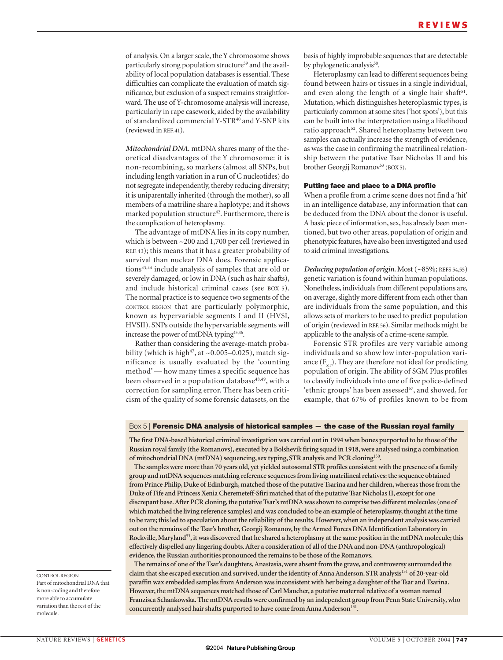of analysis. On a larger scale, the Y chromosome shows particularly strong population structure<sup>39</sup> and the availability of local population databases is essential. These difficulties can complicate the evaluation of match significance, but exclusion of a suspect remains straightforward. The use of Y-chromosome analysis will increase, particularly in rape casework, aided by the availability of standardized commercial Y-STR<sup>40</sup> and Y-SNP kits (reviewed in REF. 41).

*Mitochondrial DNA.* mtDNA shares many of the theoretical disadvantages of the Y chromosome: it is non-recombining, so markers (almost all SNPs, but including length variation in a run of C nucleotides) do not segregate independently, thereby reducing diversity; it is uniparentally inherited (through the mother), so all members of a matriline share a haplotype; and it shows marked population structure<sup>42</sup>. Furthermore, there is the complication of heteroplasmy.

The advantage of mtDNA lies in its copy number, which is between ~200 and 1,700 per cell (reviewed in REF. 43); this means that it has a greater probability of survival than nuclear DNA does. Forensic applications<sup>43,44</sup> include analysis of samples that are old or severely damaged, or low in DNA (such as hair shafts), and include historical criminal cases (see BOX 5). The normal practice is to sequence two segments of the CONTROL REGION that are particularly polymorphic, known as hypervariable segments I and II (HVSI, HVSII). SNPs outside the hypervariable segments will increase the power of mtDNA typing45,46.

Rather than considering the average-match probability (which is high<sup>47</sup>, at ~0.005–0.025), match significance is usually evaluated by the 'counting method' — how many times a specific sequence has been observed in a population database<sup>48,49</sup>, with a correction for sampling error. There has been criticism of the quality of some forensic datasets, on the basis of highly improbable sequences that are detectable by phylogenetic analysis<sup>50</sup>.

Heteroplasmy can lead to different sequences being found between hairs or tissues in a single individual, and even along the length of a single hair shaft $51$ . Mutation, which distinguishes heteroplasmic types, is particularly common at some sites ('hot spots'), but this can be built into the interpretation using a likelihood ratio approach<sup>52</sup>. Shared heteroplasmy between two samples can actually increase the strength of evidence, as was the case in confirming the matrilineal relationship between the putative Tsar Nicholas II and his brother Georgij Romanov<sup>53</sup> (BOX 5).

## **Putting face and place to a DNA profile**

When a profile from a crime scene does not find a 'hit' in an intelligence database, any information that can be deduced from the DNA about the donor is useful. A basic piece of information, sex, has already been mentioned, but two other areas, population of origin and phenotypic features, have also been investigated and used to aid criminal investigations.

*Deducing population of origin.* Most (~85%; REFS 54,55) genetic variation is found within human populations. Nonetheless, individuals from different populations are, on average, slightly more different from each other than are individuals from the same population, and this allows sets of markers to be used to predict population of origin (reviewed in REF. 56). Similar methods might be applicable to the analysis of a crime-scene sample.

Forensic STR profiles are very variable among individuals and so show low inter-population variance  $(F_{ST})$ . They are therefore not ideal for predicting population of origin. The ability of SGM Plus profiles to classify individuals into one of five police-defined 'ethnic groups' has been assessed<sup>57</sup>, and showed, for example, that 67% of profiles known to be from

#### Box 5 | **Forensic DNA analysis of historical samples — the case of the Russian royal family**

**The first DNA-based historical criminal investigation was carried out in 1994 when bones purported to be those of the Russian royal family (the Romanovs), executed by a Bolshevik firing squad in 1918, were analysed using a combination of mitochondrial DNA (mtDNA) sequencing, sex typing, STR analysis and PCR cloning**<sup>130</sup>**.**

**The samples were more than 70 years old, yet yielded autosomal STR profiles consistent with the presence of a family group and mtDNA sequences matching reference sequences from living matrilineal relatives: the sequence obtained from Prince Philip, Duke of Edinburgh, matched those of the putative Tsarina and her children, whereas those from the Duke of Fife and Princess Xenia Cheremeteff-Sfiri matched that of the putative Tsar Nicholas II, except for one discrepant base. After PCR cloning, the putative Tsar's mtDNA was shown to comprise two different molecules (one of which matched the living reference samples) and was concluded to be an example of heteroplasmy, thought at the time to be rare; this led to speculation about the reliability of the results. However, when an independent analysis was carried out on the remains of the Tsar's brother, Georgij Romanov, by the Armed Forces DNA Identification Laboratory in Rockville, Maryland**<sup>53</sup>**, it was discovered that he shared a heteroplasmy at the same position in the mtDNA molecule; this effectively dispelled any lingering doubts. After a consideration of all of the DNA and non-DNA (anthropological) evidence, the Russian authorities pronounced the remains to be those of the Romanovs.**

**The remains of one of the Tsar's daughters, Anastasia, were absent from the grave, and controversy surrounded the claim that she escaped execution and survived, under the identity of Anna Anderson. STR analysis**<sup>131</sup> **of 20-year-old paraffin wax embedded samples from Anderson was inconsistent with her being a daughter of the Tsar and Tsarina. However, the mtDNA sequences matched those of Carl Maucher, a putative maternal relative of a woman named Franzisca Schankowska. The mtDNA results were confirmed by an independent group from Penn State University, who concurrently analysed hair shafts purported to have come from Anna Anderson**<sup>131</sup>**.**

CONTROL REGION Part of mitochondrial DNA that

is non-coding and therefore more able to accumulate variation than the rest of the molecule.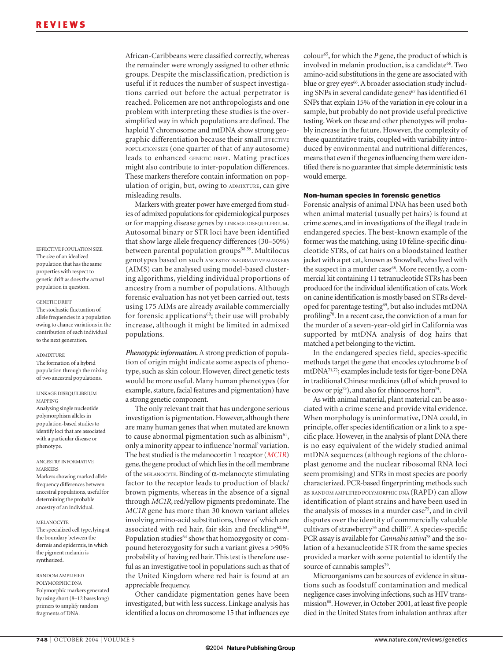EFFECTIVE POPULATION SIZE The size of an idealized population that has the same properties with respect to genetic drift as does the actual population in question.

#### GENETIC DRIFT The stochastic fluctuation of allele frequencies in a population owing to chance variations in the contribution of each individual to the next generation.

#### ADMIXTURE

The formation of a hybrid population through the mixing of two ancestral populations.

#### LINKAGE DISEQUILIBRIUM MAPPING Analysing single nucleotide polymorphism alleles in population-based studies to identify loci that are associated with a particular disease or phenotype.

#### ANCESTRY INFORMATIVE MARKERS Markers showing marked allele frequency differences between ancestral populations, useful for determining the probable ancestry of an individual.

#### MELANOCYTE

The specialized cell type, lying at the boundary between the dermis and epidermis, in which the pigment melanin is synthesized.

#### RANDOM AMPLIFIED POLYMORPHIC DNA Polymorphic markers generated by using short (8–12 bases long) primers to amplify random fragments of DNA.

African-Caribbeans were classified correctly, whereas the remainder were wrongly assigned to other ethnic groups. Despite the misclassification, prediction is useful if it reduces the number of suspect investigations carried out before the actual perpetrator is reached. Policemen are not anthropologists and one problem with interpreting these studies is the oversimplified way in which populations are defined. The haploid Y chromosome and mtDNA show strong geographic differentiation because their small EFFECTIVE POPULATION SIZE (one quarter of that of any autosome) leads to enhanced GENETIC DRIFT. Mating practices might also contribute to inter-population differences. These markers therefore contain information on population of origin, but, owing to ADMIXTURE, can give misleading results.

Markers with greater power have emerged from studies of admixed populations for epidemiological purposes or for mapping disease genes by LINKAGE DISEQUILIBRIUM. Autosomal binary or STR loci have been identified that show large allele frequency differences (30–50%) between parental population groups<sup>58,59</sup>. Multilocus genotypes based on such ANCESTRY INFORMATIVE MARKERS (AIMS) can be analysed using model-based clustering algorithms, yielding individual proportions of ancestry from a number of populations. Although forensic evaluation has not yet been carried out, tests using 175 AIMs are already available commercially for forensic applications<sup>60</sup>; their use will probably increase, although it might be limited in admixed populations.

*Phenotypic information.*A strong prediction of population of origin might indicate some aspects of phenotype, such as skin colour. However, direct genetic tests would be more useful. Many human phenotypes (for example, stature, facial features and pigmentation) have a strong genetic component.

The only relevant trait that has undergone serious investigation is pigmentation. However, although there are many human genes that when mutated are known to cause abnormal pigmentation such as albinism<sup>61</sup>, only a minority appear to influence 'normal' variation. The best studied is the melanocortin 1 receptor (*MC1R*) gene, the gene product of which lies in the cell membrane of the MELANOCYTE. Binding of  $\alpha$ -melanocyte stimulating factor to the receptor leads to production of black/ brown pigments, whereas in the absence of a signal through *MC1R*, red/yellow pigments predominate. The *MC1R* gene has more than 30 known variant alleles involving amino-acid substitutions, three of which are associated with red hair, fair skin and freckling<sup>62,63</sup>. Population studies<sup>64</sup> show that homozygosity or compound heterozygosity for such a variant gives a >90% probability of having red hair. This test is therefore useful as an investigative tool in populations such as that of the United Kingdom where red hair is found at an appreciable frequency.

Other candidate pigmentation genes have been investigated, but with less success. Linkage analysis has identified a locus on chromosome 15 that influences eye

colour<sup>65</sup>, for which the *P* gene, the product of which is involved in melanin production, is a candidate<sup>66</sup>. Two amino-acid substitutions in the gene are associated with blue or grey eyes<sup>66</sup>. A broader association study including SNPs in several candidate genes<sup>67</sup> has identified 61 SNPs that explain 15% of the variation in eye colour in a sample, but probably do not provide useful predictive testing. Work on these and other phenotypes will probably increase in the future. However, the complexity of these quantitative traits, coupled with variability introduced by environmental and nutritional differences, means that even if the genes influencing them were identified there is no guarantee that simple deterministic tests would emerge.

#### **Non-human species in forensic genetics**

Forensic analysis of animal DNA has been used both when animal material (usually pet hairs) is found at crime scenes, and in investigations of the illegal trade in endangered species. The best-known example of the former was the matching, using 10 feline-specific dinucleotide STRs, of cat hairs on a bloodstained leather jacket with a pet cat, known as Snowball, who lived with the suspect in a murder case<sup>68</sup>. More recently, a commercial kit containing 11 tetranucleotide STRs has been produced for the individual identification of cats. Work on canine identification is mostly based on STRs developed for parentage testing<sup>69</sup>, but also includes mtDNA profiling70. In a recent case, the conviction of a man for the murder of a seven-year-old girl in California was supported by mtDNA analysis of dog hairs that matched a pet belonging to the victim.

In the endangered species field, species-specific methods target the gene that encodes cytochrome b of mtDNA71,72; examples include tests for tiger-bone DNA in traditional Chinese medicines (all of which proved to be cow or pig<sup>73</sup>), and also for rhinoceros horn<sup>74</sup>.

As with animal material, plant material can be associated with a crime scene and provide vital evidence. When morphology is uninformative, DNA could, in principle, offer species identification or a link to a specific place. However, in the analysis of plant DNA there is no easy equivalent of the widely studied animal mtDNA sequences (although regions of the chloroplast genome and the nuclear ribosomal RNA loci seem promising) and STRs in most species are poorly characterized. PCR-based fingerprinting methods such as RANDOM AMPLIFIED POLYMORPHIC DNA (RAPD) can allow identification of plant strains and have been used in the analysis of mosses in a murder case<sup>75</sup>, and in civil disputes over the identity of commercially valuable cultivars of strawberry<sup>76</sup> and chilli<sup>77</sup>. A species-specific PCR assay is available for *Cannabis sativa*<sup>78</sup> and the isolation of a hexanucleotide STR from the same species provided a marker with some potential to identify the source of cannabis samples<sup>79</sup>.

Microorganisms can be sources of evidence in situations such as foodstuff contamination and medical negligence cases involving infections, such as HIV transmission<sup>80</sup>. However, in October 2001, at least five people died in the United States from inhalation anthrax after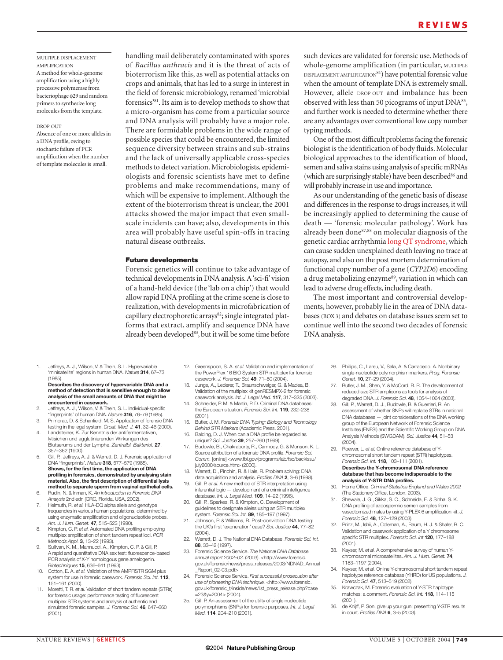MULTIPLE DISPLACEMENT AMPLIFICATION A method for whole-genome amplification using a highly processive polymerase from bacteriophage φ29 and random primers to synthesize long molecules from the template.

#### DROP-OUT

Absence of one or more alleles in a DNA profile, owing to stochastic failure of PCR amplification when the number of template molecules is small.

handling mail deliberately contaminated with spores of *Bacillus anthracis* and it is the threat of acts of bioterrorism like this, as well as potential attacks on crops and animals, that has led to a surge in interest in the field of forensic microbiology, renamed 'microbial forensics'81. Its aim is to develop methods to show that a micro-organism has come from a particular source and DNA analysis will probably have a major role. There are formidable problems in the wide range of possible species that could be encountered, the limited sequence diversity between strains and sub-strains and the lack of universally applicable cross-species methods to detect variation. Microbiologists, epidemiologists and forensic scientists have met to define problems and make recommendations, many of which will be expensive to implement. Although the extent of the bioterrorism threat is unclear, the 2001 attacks showed the major impact that even smallscale incidents can have; also, developments in this area will probably have useful spin-offs in tracing natural disease outbreaks.

# **Future developments**

Forensic genetics will continue to take advantage of technical developments in DNA analysis. A 'sci-fi' vision of a hand-held device (the 'lab on a chip') that would allow rapid DNA profiling at the crime scene is close to realization, with developments in microfabrication of capillary electrophoretic arrays<sup>82</sup>; single integrated platforms that extract, amplify and sequence DNA have already been developed<sup>83</sup>, but it will be some time before such devices are validated for forensic use. Methods of whole-genome amplification (in particular, MULTIPLE DISPLACEMENT AMPLIFICATION<sup>84</sup>) have potential forensic value when the amount of template DNA is extremely small. However, allele DROP-OUT and imbalance has been observed with less than 50 picograms of input DNA85, and further work is needed to determine whether there are any advantages over conventional low copy number typing methods.

One of the most difficult problems facing the forensic biologist is the identification of body fluids. Molecular biological approaches to the identification of blood, semen and saliva stains using analysis of specific mRNAs (which are surprisingly stable) have been described<sup>86</sup> and will probably increase in use and importance.

As our understanding of the genetic basis of disease and differences in the response to drugs increases, it will be increasingly applied to determining the cause of death — 'forensic molecular pathology'. Work has already been done87,88 on molecular diagnosis of the genetic cardiac arrhythmia long QT syndrome, which can cause sudden unexplained death leaving no trace at autopsy, and also on the post mortem determination of functional copy number of a gene (*CYP2D6*) encoding a drug metabolizing enzyme<sup>89</sup>, variation in which can lead to adverse drug effects, including death.

The most important and controversial developments, however, probably lie in the area of DNA databases (BOX 3) and debates on database issues seem set to continue well into the second two decades of forensic DNA analysis.

1. Jeffreys, A. J., Wilson, V. & Thein, S. L. Hypervariable 'minisatellite' regions in human DNA. *Nature* **314**, 67–73 (1985). **Describes the discovery of hypervariable DNA and a**

**method of detection that is sensitive enough to allow analysis of the small amounts of DNA that might be encountered in casework.**

- 2. Jeffreys, A. J., Wilson, V. & Thein, S. L. Individual-specific 'fingerprints' of human DNA. *Nature* **316**, 76–79 (1985). 3. Primorac, D. & Schanfield, M. S. Application of forensic DNA
- testing in the legal system. *Croat. Med. J.* **41**, 32–46 (2000).
- 4. Landsteiner, K. Zur Kenntnis der antifermentativen, lytisichen und agglutinierenden Wirkungen des Blutserums und der Lymphe. *Zentralbl. Bakteriol.* **27**, 357–362 (1900).
- 5. Gill, P., Jeffreys, A. J. & Werrett, D. J. Forensic application of DNA 'fingerprints'. *Nature* **318**, 577–579 (1985). **Shows, for the first time, the application of DNA profiling in forensics, demonstrated by analysing stain material. Also, the first description of differential lysis method to separate sperm from vaginal epithelial cells.**
- 6. Rudin, N. & Inman, K. *An Introduction to Forensic DNA Analysis* 2nd edn (CRC, Florida, USA, 2002).
- 7. Helmuth, R. *et al.* HLA-DQ alpha allele and genotype frequencies in various human populations, determined by using enzymatic amplification and oligonucleotide probes. *Am. J. Hum. Genet.* **47**, 515–523 (1990).
- 8. Kimpton, C. P. *et al.* Automated DNA profiling employing multiplex amplification of short tandem repeat loci. *PCR Methods Appl.* **3**, 13–22 (1993).
- 9. Sullivan, K. M., Mannucci, A., Kimpton, C. P. & Gill, P. A rapid and quantitative DNA sex test: fluorescence-based PCR analysis of X-Y homologous gene amelogenin. *Biotechniques* **15**, 636–641 (1993).
- 10. Cotton, E. A. *et al.* Validation of the AMPFlSTR SGM plus system for use in forensic casework. *Forensic Sci. Int.* **112**, 151–161 (2000).
- 11. Moretti, T. R. *et al.* Validation of short tandem repeats (STRs) for forensic usage: performance testing of fluorescent multiplex STR systems and analysis of authentic and simulated forensic samples. *J. Forensic Sci.* **46**, 647–660 (2001).
- 12. Greenspoon, S. A. *et al.* Validation and implementation of the PowerPlex 16 BIO System STR multiplex for forensic casework. *J. Forensic Sci.* **49**, 71–80 (2004).
- 13. Junge, A., Lederer, T., Braunschweiger, G. & Madea, B. Validation of the multiplex kit genRESMPX-2 for forensic
- casework analysis. *Int. J. Legal Med.* **117**, 317–325 (2003). 14. Schneider, P. M. & Martin, P. D. Criminal DNA databases: the European situation. *Forensic Sci. Int.* **119**, 232–238 (2001).
- 15. Butler, J. M. *Forensic DNA Typing: Biology and Technology Behind STR Markers* (Academic Press, 2001).
- 16. Balding, D. J. When can a DNA profile be regarded as unique? *Sci. Justice* **39**, 257–260 (1999).
- Budowle, B., Chakraborty, R., Carmody, G. & Monson, K. L. Source attribution of a forensic DNA profile. *Forensic Sci. Comm.* [online] <www.fbi.gov/programs/lab/fsc/backissu/ july2000/source.htm> (2000).
- 18. Werrett, D., Pinchin, R. & Hale, R. Problem solving: DNA data acquisition and analysis. *Profiles DNA* **2**, 3–6 (1998).
- 19. Gill, P. *et al.* A new method of STR interpretation using inferential logic — development of a criminal intelligence database. *Int. J. Legal Med.* **109**, 14–22 (1996).
- 20. Gill, P., Sparkes, R. & Kimpton, C. Development of guidelines to designate alleles using an STR multiplex system. *Forensic Sci. Int.* **89**, 185–197 (1997).
- 21. Johnson, P. & Williams, R. Post-conviction DNA testing: the UK's first 'exoneration' case? *Sci. Justice* **44**, 77–82  $(2004)$
- 22. Werrett, D. J. The National DNA Database. *Forensic Sci. Int.* **88**, 33–42 (1997).
- 23. Forensic Science Service. *The National DNA Database. annual report 2002–03.* (2003). <http://www.forensic. gov.uk/forensic/news/press\_releases/2003/NDNAD\_Annual \_<br>Report\_02-03.pdf>
- 24. Forensic Science Service. *First successful prosecution after use of pioneering DNA technique.* <http://www.forensic. gov.uk/forensic\_t/inside/news/list\_press\_release.php?case =23&y=2004> (2004).
- 25. Gill, P. An assessment of the utility of single nucleotide polymorphisms (SNPs) for forensic purposes. *Int. J. Legal Med.* **114**, 204–210 (2001).
- 26. Phillips, C., Lareu, V., Sala, A. & Carracedo, A. Nonbinary single-nucleotide polymorphism markers. *Prog. Forensic Genet.* **10**, 27–29 (2004).
- 27. Butler, J. M., Shen, Y. & McCord, B. R. The development of reduced size STR amplicons as tools for analysis of degraded DNA. *J. Forensic Sci.* **48**, 1054–1064 (2003).
- 28. Gill, P., Werrett, D. J., Budowle, B. & Guerrieri, R. An assessment of whether SNPs will replace STRs in national DNA databases — joint considerations of the DNA working group of the European Network of Forensic Science Institutes (ENFSI) and the Scientific Working Group on DNA Analysis Methods (SWGDAM). *Sci. Justice* **44**, 51–53 (2004).
- 29. Roewer, L. *et al.* Online reference database of Ychromosomal short tandem repeat (STR) haplotypes. *Forensic Sci. Int.* **118**, 103–111 (2001). **Describes the Y-chromosomal DNA reference database that has become indispensable to the analysis of Y-STR DNA profiles.**
- 30. Home Office. *Criminal Statistics England and Wales 2002* (The Stationery Office, London, 2003).
- 31. Shewale, J. G., Sikka, S. C., Schneida, E. & Sinha, S. K. DNA profiling of azoospermic semen samples from vasectomized males by using Y-PLEX 6 amplification kit. *J. Forensic Sci.* **48**, 127–129 (2003).
- 32. Prinz, M., Ishii, A., Coleman, A., Baum, H. J. & Shaler, R. C. Validation and casework application of a Y chromosome specific STR multiplex. *Forensic Sci. Int* **120**, 177–188  $(2001)$ .
- 33. Kayser, M. *et al.* A comprehensive survey of human Ychromosomal microsatellites. *Am. J. Hum. Genet.* **74**, 1183–1197 (2004).
- 34. Kayser, M. *et al.* Online Y-chromosomal short tandem repeat haplotype reference database (YHRD) for US populations. *J. Forensic Sci.* **47**, 513–519 (2002).
- 35. Krawczak, M. Forensic evaluation of Y-STR haplotype matches: a comment. *Forensic Sci. Int.* **118**, 114–115 (2001).
- 36. de Knijff, P. Son, give up your gun: presenting Y-STR results in court. *Profiles DNA* **6**, 3–5 (2003).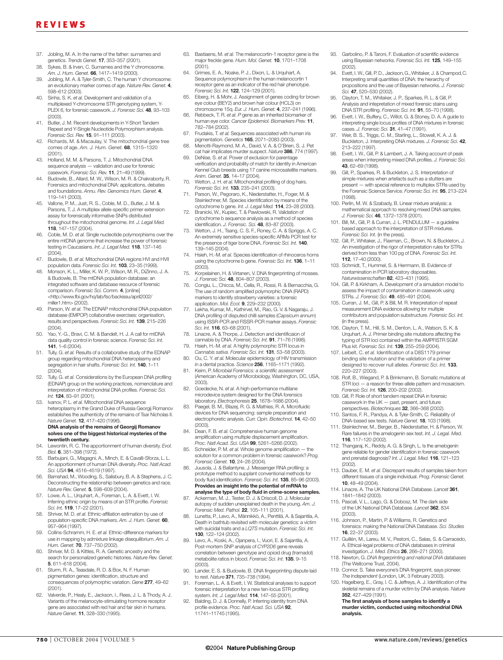# REVIEWS

- 37. Jobling, M. A. In the name of the father: surnames and genetics. *Trends Genet.* **17**, 353–357 (2001).
- 38. Sykes, B. & Irven, C. Surnames and the Y chromosome. *Am. J. Hum. Genet.* **66**, 1417–1419 (2000).
- 39. Jobling, M. A. & Tyler-Smith, C. The human Y chromosome: an evolutionary marker comes of age. *Nature Rev. Genet.* **4**, 598–612 (2003).
- 40. Sinha, S. K. *et al.* Development and validation of a multiplexed Y-chromosome STR genotyping system, Y-PLEX 6, for forensic casework. *J. Forensic Sci.* **48**, 93–103 (2003).
- 41. Butler, J. M. Recent developments in Y-Short Tandem Repeat and Y-Single Nucleotide Polymorphism analysis. *Forensic Sci. Rev.* **15**, 91–111 (2003).
- 42. Richards, M. & Macaulay, V. The mitochondrial gene tree comes of age. *Am. J. Hum. Genet.* **68**, 1315–1320  $(2001)$
- 43. Holland, M. M. & Parsons, T. J. Mitochondrial DNA sequence analysis — validation and use for forensic casework. *Forensic Sci. Rev.* **11**, 21–49 (1999).
- 44. Budowle, B., Allard, M. W., Wilson, M. R. & Chakraborty, R. Forensics and mitochondrial DNA: applications, debates and foundations. *Annu. Rev. Genomics Hum. Genet.* **4**, 119–141 (2003).
- 45. Vallone, P. M., Just, R. S., Coble, M. D., Butler, J. M. & Parsons, T. J. A multiplex allele-specific primer extension assay for forensically informative SNPs distributed throughout the mitochondrial genome. *Int. J. Legal Med.* **118**, 147–157 (2004).
- 46. Coble, M. D. *et al.* Single nucleotide polymorphisms over the entire mtDNA genome that increase the power of forensic testing in Caucasians. *Int. J. Legal Med.* **118**, 137–146  $(2004)$
- 47. Budowle, B. *et al.* Mitochondrial DNA regions HVI and HVII population data. *Forensic Sci. Int.* **103**, 23–35 (1999).
- 48. Monson, K. L., Miller, K. W. P., Wilson, M. R., DiZinno, J. A. & Budowle, B. The mtDNA population database: an integrated software and database resource of forensic comparison. *Forensic Sci. Comm.* **4**, [online] <http://www.fbi.gov/hq/lab/fsc/backissu/april2002/ miller1.htm> (2002).
- 49. Parson, W. *et al.* The EDNAP mitochondrial DNA population database (EMPOP) collaborative exercises: organisation. results and perspectives. *Forensic Sci. Int.* **139**, 215–226 (2004).
- 50. Yao, Y.-G., Bravi, C. M. & Bandelt, H. J. A call for mtDNA data quality control in forensic science. *Forensic Sci. Int.* **141**, 1–6 (2004).
- 51. Tully, G. *et al.* Results of a collaborative study of the EDNAP group regarding mitochondrial DNA heteroplasmy and segregation in hair shafts. *Forensic Sci. Int.* **140**, 1–11  $(2004)$
- 52. Tully, G. *et al.* Considerations by the European DNA profiling (EDNAP) group on the working practices, nomenclature and interpretation of mitochondrial DNA profiles. *Forensic Sci. Int.* **124**, 83–91 (2001).
- 53. Ivanov, P. L. *et al.* Mitochondrial DNA sequence heteroplasmy in the Grand Duke of Russia Georgij Romanov establishes the authenticity of the remains of Tsar Nicholas II. *Nature Genet.* **12**, 417–420 (1996). **DNA analysis of the remains of Georgij Romanov**

#### **solves one of the biggest historical mysteries of the twentieth century.**

- 54. Lewontin, R. C. The apportionment of human diversity. *Evol. Biol.* **6**, 381–398 (1972).
- 55. Barbujani, G., Magagni, A., Minch, E. & Cavalli-Sforza, L. L. An apportionment of human DNA diversity. *Proc. Natl Acad. Sci. USA* **94**, 4516–4519 (1997).
- 56. Bamshad, M., Wooding, S., Salisbury, B. A. & Stephens, J. C. Deconstructing the relationship between genetics and race. *Nature Rev. Genet.* **5**, 598–609 (2004).
- 57. Lowe, A. L., Urquhart, A., Foreman, L. A. & Evett, I. W. Inferring ethnic origin by means of an STR profile. *Forensic Sci. Int.* **119**, 17–22 (2001).
- 58. Shriver, M. D. *et al.* Ethnic-affiliation estimation by use of population-specific DNA markers. *Am. J. Hum. Genet.* **60**, 957–964 (1997).
- 59. Collins-Schramm, H. E. *et al.* Ethnic-difference markers for use in mapping by admixture linkage disequilibrium. *Am. J. Hum. Genet.* **70**, 737–750 (2002).
- 60. Shriver, M. D. & Kittles, R. A. Genetic ancestry and the search for personalized genetic histories. *Nature Rev. Genet.* **5**, 611–618 (2004).
- 61. Sturm, R. A., Teasdale, R. D. & Box, N. F. Human pigmentation genes: identification, structure and consequences of polymorphic variation. *Gene* **277**, 49–62 (2001).
- 62. Valverde, P., Healy, E., Jackson, I., Rees, J. L. & Thody, A. J. Variants of the melanocyte-stimulating hormone receptor gene are associated with red hair and fair skin in humans. *Nature Genet.* **11**, 328–330 (1995).
- 63. Bastiaens, M. *et al.* The melanocortin-1 receptor gene is the major freckle gene. *Hum. Mol. Genet.* **10**, 1701–1708 (2001).
- 64. Grimes, E. A., Noake, P. J., Dixon, L. & Urquhart, A. Sequence polymorphism in the human melanocortin 1 receptor gene as an indicator of the red hair phenotype. *Forensic Sci. Int.* **122**, 124–129 (2001).
- 65. Eiberg, H. & Mohr, J. Assignment of genes coding for brown eye colour (BEY2) and brown hair colour (HCL3) on chromosome 15q. *Eur. J. Hum. Genet.* **4**, 237–241 (1996).
- 66. Rebbeck, T. R. *et al. P* gene as an inherited biomarker of human eye color. *Cancer Epidemiol. Biomarkers Prev.* **11**, 782–784 (2002).
- 67. Frudakis, T. *et al.* Sequences associated with human iris pigmentation. *Genetics* **165**, 2071–2083 (2003).
- 68. Menotti-Raymond, M. A., David, V. A. & O'Brien, S. J. Pet cat hair implicates murder suspect. *Nature* **386**, 774 (1997). 69. DeNise, S. *et al.* Power of exclusion for parentage
- verification and probability of match for identity in American Kennel Club breeds using 17 canine microsatellite markers. *Anim. Genet.* **35**, 14–17 (2004).
- Wetton, J. H. et al. Mitochondrial profiling of dog hairs. *Forensic Sci. Int.* **133**, 235–241 (2003).
- 71. Parson, W., Pegoraro, K., Niederstatter, H., Foger, M. & Steinlechner, M. Species identification by means of the cytochrome b gene. *Int. J. Legal Med.* **114**, 23–28 (2000).
- 72. Branicki, W., Kupiec, T. & Pawlowski, R. Validation of cytochrome b sequence analysis as a method of species identification. *J. Forensic. Sci.* **48**, 83–87 (2003).
- 73. Wetton, J. H., Tsang, C. S. F., Roney, C. A. & Spriggs, A. C. An extremely sensitive species-specific ARMs PCR test for the presence of tiger bone DNA. *Forensic Sci. Int.* **140**, 139–145 (2004).
- 74. Hsieh, H.-M. *et al.* Species identification of rhinoceros horns using the cytochrome b gene. *Forensic Sci. Int.* **136**, 1–11 (2003).
- 75. Korpelainen, H. & Virtanen, V. DNA fingerprinting of mosses. *J. Forensic Sci.* **48**, 804–807 (2003).
- 76. Congiu, L., Chicca, M., Cella, R., Rossi, R. & Bernacchia, G. The use of random amplified polymorphic DNA (RAPD) markers to identify strawberry varieties: a forensic application. *Mol. Ecol.* **9**, 229–232 (2000).
- 77. Lekha, Kumar, M., Kathirvel, M., Rao, G. V. & Nagaraju, J. DNA profiling of disputed chilli samples (*Capsicum annum*) using ISSR-PCR and FISSR-PCR marker assays. *Forensic Sci. Int.* **116**, 63–68 (2001).
- 78. Linacre, A. & Thorpe, J. Detection and identificaion of cannabis by DNA. *Forensic Sci. Int.* **91**, 71–76 (1998).
- 79. Hsieh, H.-M. *et al.* A highly polymorphic STR locus in *Cannabis sativa*. *Forensic Sci. Int.* **131**, 53–58 (2003). 80. Ou, C. Y. *et al.* Molecular epidemiology of HIV transmission
- in a dental practice. *Science* **256**, 1165–1171 (1992). 81. Keim, P. *Microbial Forensics: a scientific assessment*
- (American Academy of Microbiology, Washington, DC, USA, 2003).
- 82. Goedecke, N. *et al.* A high-performance multilane microdevice system designed for the DNA forensics laboratory. *Electrophoresis* **25**, 1678–1686 (2004).
- 83. Paegel, B. M., Blazej, R. G. & Mathies, R. A. Microfluidic devices for DNA sequencing: sample preparation and electrophoretic analysis. *Curr. Opin. Biotechnol.* **14**, 42–50 (2003).
- 84. Dean, F. B. *et al.* Comprehensive human genome amplification using multiple displacement amplification.
- *Proc. Natl Acad. Sci. USA* **99**, 5261–5266 (2002). 85. Schneider, P. M. *et al.* Whole genome amplification the solution for a common problem in forensic casework? *Prog. Forensic Genet.* **10**, 24–26 (2004).
- 86. Juusola, J. & Ballantyne, J. Messenger RNA profiling: a prototype method to supplant conventional methods for body fluid identification. *Forensic Sci. Int.* **135**, 85–96 (2003). **Provides an insight into the potential of mRNA to analyse the type of body fluid in crime-scene samples.**
- 87. Ackerman, M. J., Tester, D. J. & Driscoll, D. J. Molecular autopsy of sudden unexplained death in the young. *Am. J. Forensic Med. Pathol.* **22**, 105–111 (2001).
- 88. Lunetta, P., Levo, A., Männikkö, A., Penttilä, A. & Sajantila, A. Death in bathtub revisited with molecular genetics: a victim with suicidal traits and a *LQTS* mutation. *Forensic Sci. Int.* **130**, 122–124 (2002).
- 89. Levo, A., Koski, A., Ojanpera, I., Vuori, E. & Sajantila, A. Post-mortem SNP analysis of *CYP2D6* gene reveals correlation between genotype and opioid drug (tramadol) metabolite ratios in blood. *Forensic Sci. Int.* **135**, 9–15  $(2003)$
- 90. Lander, E. S. & Budowle, B. DNA fingerprinting dispute laid to rest. *Nature* **371**, 735–738 (1994).
- Foreman, L. A. & Evett, I. W. Statistical analyses to support forensic interpretation for a new ten-locus STR profiling
- system. *Int. J. Legal Med.* **114**, 147–55 (2001). 92. Balding, D. J. & Donnelly, P. Inferring identity from DNA profile evidence. *Proc. Natl Acad. Sci. USA* **92**, 11741–11745 (1995).
- 93. Garbolino, P. & Taroni, F. Evaluation of scientific evidence using Bayesian networks. *Forensic Sci. Int.* **125**, 149–155 (2002).
- 94. Evett, I. W., Gill, P. D., Jackson,G.,Whitaker, J. & Champod,C. Interpreting small quantities of DNA: the hierarchy of propositions and the use of Bayesian networks. *J. Forensic Sci.* **47**, 520–530 (2002).
- 95. Clayton, T. M., Whitaker, J. P., Sparkes, R. L. & Gill, P. Analysis and intepretation of mixed forensic stains using DNA STR profiling. *Forensic Sci. Int.* **91**, 55–70 (1998).
- Evett, I. W., Buffery, C., Willot, G. & Stoney, D. A. A guide to interpreting single locus profiles of DNA mixtures in forensic cases. *J. Forensic Sci.* **31**, 41–47 (1991).
- 97. Weir, B. S., Triggs, C. M., Starling, L., Stowell, K. A. J. & Buckleton, J. Interpreting DNA mixtures. *J. Forensic Sci.* **42**, 213–222 (1997).
- Evett, I. W., Gill, P. & Lambert, J. A. Taking account of peak areas when interpreting mixed DNA profiles. *J. Forensic Sci.* **43**, 62–69 (1998).
- 99. Gill, P., Sparkes, R. & Buckleton, J. S. Interpretation of simple mixtures when artefacts such as a stutters are present — with special reference to multiplex STRs used by the Forensic Science Service. *Forensic Sci. Int.* **95**, 213–224 (1998).
- 100. Perlin, M. W. & Szabady, B. Linear mixture analysis: a mathematical approach to resolving mixed DNA samples. *J. Forensic Sci.* **46**, 1372–1378 (2001).
- 101. Bill, M., Gill, P. & Curran, J. L. PENDULUM a guideline based approach to the interpretation of STR mixtures.
- *Forensic Sci. Int.* (in the press). 102. Gill, P., Whitaker, J., Flaxman, C., Brown, N. & Buckleton, J. An investigation of the rigor of interpretation rules for STRs derived from less than 100 pg of DNA. *Forensic Sci. Int.* **112**, 17–40 (2000).
- 103. Schmidt, T., Hummel, S. & Herrmann, B. Evidence of contamination in PCR laboratory disposables. *Naturwissenschaften* **82**, 423–431 (1995).
- 104. Gill, P. & Kirkham, A. Development of a simulation model to assess the impact of contamination in casework using STRs. *J. Forensic Sci.* **49**, 485–491 (2004).
- 105. Curran, J. M., Gill, P. & Bill, M. R. Interpretation of repeat measurement DNA evidence allowing for multiple contributors and population substructure. *Forensic Sci. Int.* (in the press).
- 106. Clayton, T. M., Hill, S. M., Denton, L. A., Watson, S. K. & Urquhart, A. J. Primer binding site mutations affecting the typing of STR loci contained within the AMPFlSTR SGM Plus kit. *Forensic Sci. Int.* **139**, 255–259 (2004).
- 107. Leibelt, C. *et al.* Identification of a D8S1179 primer binding site mutation and the validation of a primer designed to recover null alleles. *Forensic Sci. Int.* **133**, 220–227 (2003).
- 108. Rolf, B., Wiegand, P. & Brinkmann, B. Somatic mutations at STR loci — a reason for three-allele pattern and mosaicism. *Forensic Sci. Int.* **126**, 200–202 (2002).
- 109. Gill, P. Role of short tandem repeat DNA in forensic casework in the UK — past, present, and future perspectives. *Biotechniques* **32**, 366–368 (2002).
- 110. Santos, F. R., Pandya, A. & Tyler-Smith, C. Reliability of DNA-based sex tests. *Nature Genet.* **18**, 103 (1998).
- 111. Steinlechner, M., Berger, B., Niederstatter, H. & Parson, W. Rare failures in the amelogenin sex test. *Int. J. Legal. Med.* **116**, 117–120 (2002).
- 112. Thangaraj, K., Reddy, A. G. & Singh, L. Is the amelogenin gene reliable for gender identification in forensic casework and prenatal diagnosis? *Int. J. Legal. Med.* **116**, 121–123 (2002).
- 113. Dauber, E. M. *et al.* Discrepant results of samples taken from different tissues of a single individual. *Prog. Forensic Genet.* **10**, 48–49 (2004).
- 114. Linacre, A. The UK National DNA Database. *Lancet* **361**, 1841–1842 (2003).
- 115. Pascali, V. L., Lago, G. & Dobosz, M. The dark side of the UK National DNA Database. *Lancet* **362**, 834  $(2003)$
- 116. Johnson, P., Martin, P. & Williams, R. Genetics and forensics: making the National DNA Database. *Sci. Studies* **16**, 22–37 (2003).
- 117. Guillén, M., Lareu, M. V., Pestoni, C., Salas, S. & Carracedo, A. Ethical-legal problems of DNA databases in criminal investigation. *J. Med. Ethics* **26**, 266–271 (2000).
- 118. Newton, G. *DNA fingerprinting and national DNA databases* (The Wellcome Trust, 2004).
- 119. Connor, S. Take everyone's DNA fingerprint, says pioneer. *The Independent* (London, UK, 3 February 2003).
- 120. Hagelberg, E., Gray, I. C. & Jeffreys, A. J. Identification of the skeletal remains of a murder victim by DNA analysis. *Nature* **352**, 427–429 (1991).

**The first analysis of bone samples to identify a murder victim, conducted using mitochondrial DNA analysis.**